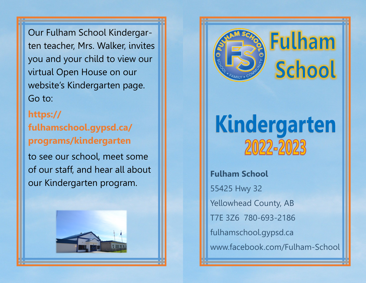Our Fulham School Kindergarten teacher, Mrs. Walker, invites you and your child to view our virtual Open House on our website's Kindergarten page. Go to:

**https:// fulhamschool.gypsd.ca/ programs/kindergarten**

to see our school, meet some of our staff, and hear all about our Kindergarten program.





# **Fulham School**

# Kindergarten 2022-2023

**Fulham School** 55425 Hwy 32 Yellowhead County, AB T7E 3Z6 780-693-2186 fulhamschool.gypsd.ca www.facebook.com/Fulham-School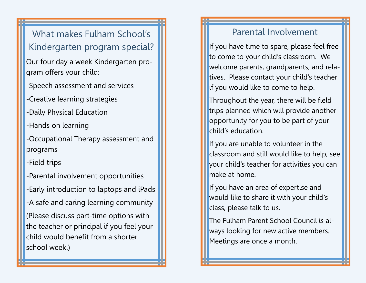What makes Fulham School's Kindergarten program special?

- Our four day a week Kindergarten program offers your child:
- -Speech assessment and services
- -Creative learning strategies
- -Daily Physical Education
- -Hands on learning
- -Occupational Therapy assessment and programs
- -Field trips
- -Parental involvement opportunities -Early introduction to laptops and iPads -A safe and caring learning community (Please discuss part-time options with the teacher or principal if you feel your child would benefit from a shorter school week.)

#### Parental Involvement

If you have time to spare, please feel free to come to your child's classroom. We welcome parents, grandparents, and relatives. Please contact your child's teacher if you would like to come to help.

Throughout the year, there will be field trips planned which will provide another opportunity for you to be part of your child's education.

If you are unable to volunteer in the classroom and still would like to help, see your child's teacher for activities you can make at home.

If you have an area of expertise and would like to share it with your child's class, please talk to us.

The Fulham Parent School Council is always looking for new active members. Meetings are once a month.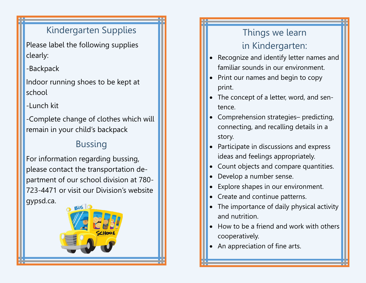#### Kindergarten Supplies

Please label the following supplies clearly:

-Backpack

Indoor running shoes to be kept at school

-Lunch kit

-Complete change of clothes which will remain in your child's backpack

# Bussing

For information regarding bussing, please contact the transportation department of our school division at 780- 723-4471 or visit our Division's website gypsd.ca.



## Things we learn in Kindergarten:

- Recognize and identify letter names and familiar sounds in our environment.
- Print our names and begin to copy print.
- The concept of a letter, word, and sentence.
- Comprehension strategies– predicting, connecting, and recalling details in a story.
- Participate in discussions and express ideas and feelings appropriately.
- Count objects and compare quantities.
- Develop a number sense.
- Explore shapes in our environment.
- Create and continue patterns.
- The importance of daily physical activity and nutrition.
- How to be a friend and work with others cooperatively.
- An appreciation of fine arts.